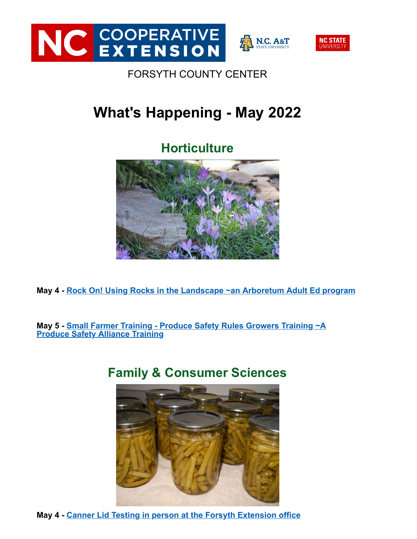



**N.C. A&T** 

#### FORSYTH COUNTY CENTER

# **What's Happening - May 2022**

# **Horticulture**



**May 4 - [Rock On! Using Rocks in the Landscape ~an Arboretum Adult Ed program](https://ncextension.lt.acemlna.com/Prod/link-tracker?notrack=1&redirectUrl=aHR0cHMlM0ElMkYlMkZ3d3cuZXZlbnRicml0ZS5jb20lMkZlJTJGcm9jay1vbi11c2luZy1yb2Nrcy1pbi10aGUtbGFuZHNjYXBlLXJlZ2lzdHJhdGlvbi0yMzU2MDg5NTE3MTclM0ZhZmYlM0RlYmRzc2JkZXN0c2VhcmNo&sig=EqYE7KnzMUXLGVHbKZtJK4yxB23fXoZ4K8jpRm42WEXv&iat=1651512208&a=%7C%7C90313184%7C%7C&account=ncextension%2Eactivehosted%2Ecom&email=LRRV6glqIfcVPcYsJBrMHi%2FZD%2BmsUFpJrc5fHf6IoVE%3D&s=bad97c655476f96a390a72c05a742011&i=7270A6813A45A80694)**

**May 5 - [Small Farmer Training - Produce Safety Rules Growers Training ~A](https://ncextension.lt.acemlna.com/Prod/link-tracker?notrack=1&redirectUrl=aHR0cHMlM0ElMkYlMkZuY2ZyZXNocHJvZHVjZXNhZmV0eS5jZXMubmNzdS5lZHUlMkYyMDIxJTJGMTElMkZwcm9kdWNlLXNhZmV0eS1hbGxpYW5jZS10cmFpbmluZ3MtMiUyRg==&sig=8Pmw7TSZwK4EtgDknyBNa6G1jRJYpQW4SMc9hJuzgUG1&iat=1651512208&a=%7C%7C90313184%7C%7C&account=ncextension%2Eactivehosted%2Ecom&email=LRRV6glqIfcVPcYsJBrMHi%2FZD%2BmsUFpJrc5fHf6IoVE%3D&s=bad97c655476f96a390a72c05a742011&i=7270A6813A45A80695) Produce Safety Alliance Training**

# **Family & Consumer Sciences**



**May 4 - [Canner Lid Testing in person at the Forsyth Extension office](https://ncextension.lt.acemlna.com/Prod/link-tracker?notrack=1&redirectUrl=aHR0cHMlM0ElMkYlMkZ3d3cuZXZlbnRicml0ZS5jb20lMkZlJTJGY2FubmVyLWxpZC10ZXN0aW5nLXRpY2tldHMtMjYyMjAzMjk2MTE3&sig=B4Rra1HhiaTTxDVfdteBbddQbqEDJCfknKfQvxDm8JMd&iat=1651512208&a=%7C%7C90313184%7C%7C&account=ncextension%2Eactivehosted%2Ecom&email=LRRV6glqIfcVPcYsJBrMHi%2FZD%2BmsUFpJrc5fHf6IoVE%3D&s=bad97c655476f96a390a72c05a742011&i=7270A6813A45A73443)**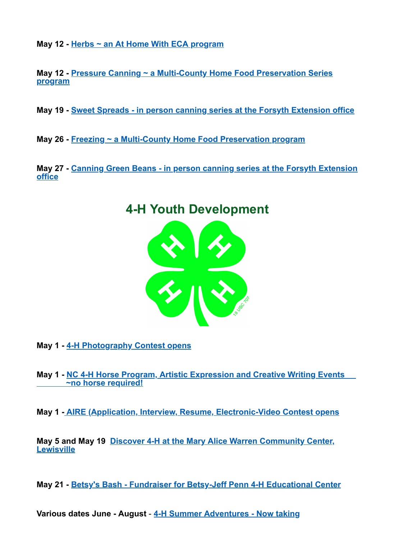**May 12 - [Herbs ~ an At Home With ECA program](https://ncextension.lt.acemlna.com/Prod/link-tracker?notrack=1&redirectUrl=aHR0cHMlM0ElMkYlMkZ3d3cuZXZlbnRicml0ZS5jb20lMkZlJTJGYXQtaG9tZS13aXRoLWVjYS1oZXJicy10aWNrZXRzLTIyNjA1NTMzNjU5Nw==&sig=2CNVqnGgFQmT7vVajX7tyrwZiyGBqDsdcctdvFViRgpZ&iat=1651512208&a=%7C%7C90313184%7C%7C&account=ncextension%2Eactivehosted%2Ecom&email=LRRV6glqIfcVPcYsJBrMHi%2FZD%2BmsUFpJrc5fHf6IoVE%3D&s=bad97c655476f96a390a72c05a742011&i=7270A6813A45A80696)**

**May 12 - [Pressure Canning ~ a Multi-County Home Food Preservation Series](https://ncextension.lt.acemlna.com/Prod/link-tracker?notrack=1&redirectUrl=aHR0cHMlM0ElMkYlMkZ3d3cuZXZlbnRicml0ZS5jb20lMkZlJTJGaG9tZS1mb29kLXByZXNlcnZhdGlvbi1wcmVzc3VyZS1jYW5uaW5nLXRpY2tldHMtMzA0NzQyMTgxMDY3JTNGYWZmJTNEZWJkc29wb3JncHJvZmlsZQ==&sig=4cCBf3UzDfhZCkyQTW49dsY723f8b1gQpkGd9HyNbHbj&iat=1651512208&a=%7C%7C90313184%7C%7C&account=ncextension%2Eactivehosted%2Ecom&email=LRRV6glqIfcVPcYsJBrMHi%2FZD%2BmsUFpJrc5fHf6IoVE%3D&s=bad97c655476f96a390a72c05a742011&i=7270A6813A45A80697) program**

**May 19 - [Sweet Spreads - in person canning series at the Forsyth Extension office](https://ncextension.lt.acemlna.com/Prod/link-tracker?notrack=1&redirectUrl=aHR0cHMlM0ElMkYlMkZ3d3cuZXZlbnRicml0ZS5jb20lMkZlJTJGaG9tZS1mb29kLXByZXNlcnZhdGlvbi1zZXJpZXMtdGlja2V0cy0zMDA3ODk4NDk1MzclM0ZhZmYlM0RlYmRzb3Bvcmdwcm9maWxl&sig=7jHiR2XayMU8KnyCPfccQ6tTaukzQgDJrD6Y5qhppHAL&iat=1651512208&a=%7C%7C90313184%7C%7C&account=ncextension%2Eactivehosted%2Ecom&email=LRRV6glqIfcVPcYsJBrMHi%2FZD%2BmsUFpJrc5fHf6IoVE%3D&s=bad97c655476f96a390a72c05a742011&i=7270A6813A45A80698)**

**May 26 - [Freezing ~ a Multi-County Home Food Preservation program](https://ncextension.lt.acemlna.com/Prod/link-tracker?notrack=1&redirectUrl=aHR0cHMlM0ElMkYlMkZ3d3cuZXZlbnRicml0ZS5jb20lMkZlJTJGaG9tZS1mb29kLXByZXNlcnZhdGlvbi1mcmVlemluZy10aWNrZXRzLTMwNDc0NDY1ODQ3NyUzRmFmZiUzRGViZHNvcG9yZ3Byb2ZpbGU=&sig=7ezuZE4bUR6WzsBB5YRiEaxjLJjRyaPLTTbtNnuyKPNu&iat=1651512208&a=%7C%7C90313184%7C%7C&account=ncextension%2Eactivehosted%2Ecom&email=LRRV6glqIfcVPcYsJBrMHi%2FZD%2BmsUFpJrc5fHf6IoVE%3D&s=bad97c655476f96a390a72c05a742011&i=7270A6813A45A80699)**

**May 27 - [Canning Green Beans - in person canning series at the Forsyth Extension](https://ncextension.lt.acemlna.com/Prod/link-tracker?notrack=1&redirectUrl=aHR0cHMlM0ElMkYlMkZ3d3cuZXZlbnRicml0ZS5jb20lMkZlJTJGaG9tZS1mb29kLXByZXNlcnZhdGlvbi1zZXJpZXMtdGlja2V0cy0zMDA3ODk4NDk1MzclM0ZhZmYlM0RlYmRzb3Bvcmdwcm9maWxl&sig=7jHiR2XayMU8KnyCPfccQ6tTaukzQgDJrD6Y5qhppHAL&iat=1651512208&a=%7C%7C90313184%7C%7C&account=ncextension%2Eactivehosted%2Ecom&email=LRRV6glqIfcVPcYsJBrMHi%2FZD%2BmsUFpJrc5fHf6IoVE%3D&s=bad97c655476f96a390a72c05a742011&i=7270A6813A45A80698) office**



**May 1 - [4-H Photography Contest opens](https://ncextension.lt.acemlna.com/Prod/link-tracker?notrack=1&redirectUrl=aHR0cHMlM0ElMkYlMkZmb3JzeXRoLmNjJTJGQ0VTJTJGYXJ0aWNsZS5hc3B4JTNGTmV3c0lEJTNEMjY4NDc=&sig=EhuGM3ULjKWVrkXckxDkEUNzYqWBaequmvCjoLGWsCbb&iat=1651512208&a=%7C%7C90313184%7C%7C&account=ncextension%2Eactivehosted%2Ecom&email=LRRV6glqIfcVPcYsJBrMHi%2FZD%2BmsUFpJrc5fHf6IoVE%3D&s=bad97c655476f96a390a72c05a742011&i=7270A6813A45A80701)**

**May 1 - [NC 4-H Horse Program, Artistic Expression and Creative Writing Events](https://ncextension.lt.acemlna.com/Prod/link-tracker?notrack=1&redirectUrl=aHR0cHMlM0ElMkYlMkZlcXVpbmVodXNiYW5kcnkuY2VzLm5jc3UuZWR1JTJGZXF1aW5laHVzYmFuZHJ5LW5jLTQtaC1ob3JzZS1wcm9ncmFtLWVkdWNhdGlvbmFsLWV2ZW50cyUyRmFydGlzdGljLWV4cHJlc3Npb24tZXZlbnRzJTJG&sig=2rbd4eLTo7nmiq1o3YUjV9ywvb4qHEAndkPthpAFGzpz&iat=1651512208&a=%7C%7C90313184%7C%7C&account=ncextension%2Eactivehosted%2Ecom&email=LRRV6glqIfcVPcYsJBrMHi%2FZD%2BmsUFpJrc5fHf6IoVE%3D&s=bad97c655476f96a390a72c05a742011&i=7270A6813A45A80702) ~no horse required!**

**May 1 - [AIRE \(Application, Interview, Resume, Electronic-Video Contest opens](https://ncextension.lt.acemlna.com/Prod/link-tracker?notrack=1&redirectUrl=aHR0cHMlM0ElMkYlMkZ3d3cuZm9yc3l0aC5jYyUyRkNFUyUyRmFydGljbGUuYXNweCUzRk5ld3NJRCUzRDI2ODUy&sig=EpJWqAdpGkNf6GWrSLpKiBJtLa256ZvFAFUx4iH8DMA1&iat=1651512208&a=%7C%7C90313184%7C%7C&account=ncextension%2Eactivehosted%2Ecom&email=LRRV6glqIfcVPcYsJBrMHi%2FZD%2BmsUFpJrc5fHf6IoVE%3D&s=bad97c655476f96a390a72c05a742011&i=7270A6813A45A80703)**

**May 5 and May 19 [Discover 4-H at the Mary Alice Warren Community Center,](https://ncextension.lt.acemlna.com/Prod/link-tracker?notrack=1&redirectUrl=aHR0cHMlM0ElMkYlMkZjYWxlbmRhci5nb29nbGUuY29tJTJGY2FsZW5kYXIlMkZ1JTJGMCUyRnIlMkZkYXklMkYyMDIyJTJGNSUyRjUlM0ZlaWQlM0RORGR4ZFdrMWIzQjJNblU1Y0dSd01tUjFNamRwT0hFM2Rtb2dabTl5YzNsMGFDMWpiM1Z1ZEhrdGJtTmpaVUJ1WTNOMUxtVmtkUSUyNmN0eiUzREFtZXJpY2ElMkZOZXdfWW9yayUyNnNmJTNEdHJ1ZQ==&sig=DrpStdZLRYKDYXhZ7B93QGjYoFJQoEp5eab4mfi13vr6&iat=1651512208&a=%7C%7C90313184%7C%7C&account=ncextension%2Eactivehosted%2Ecom&email=LRRV6glqIfcVPcYsJBrMHi%2FZD%2BmsUFpJrc5fHf6IoVE%3D&s=bad97c655476f96a390a72c05a742011&i=7270A6813A45A80704) Lewisville**

**May 21 - [Betsy's Bash - Fundraiser for Betsy-Jeff Penn 4-H Educational Center](https://ncextension.lt.acemlna.com/Prod/link-tracker?notrack=1&redirectUrl=aHR0cHMlM0ElMkYlMkZ3d3cuYmpwZW5uNGgub3JnJTJGYmV0c3lzLWJhc2gtZnVuZHJhaXNpbmctZXZlbnQtMjAyMiUyRg==&sig=DXcqxLGQhUvWqG6J1RkR2PpMxLoHS3SPeRToxbyKwSnB&iat=1651512208&a=%7C%7C90313184%7C%7C&account=ncextension%2Eactivehosted%2Ecom&email=LRRV6glqIfcVPcYsJBrMHi%2FZD%2BmsUFpJrc5fHf6IoVE%3D&s=bad97c655476f96a390a72c05a742011&i=7270A6813A45A80705)**

**Various dates June - August** - **[4-H Summer Adventures - Now taking](https://ncextension.lt.acemlna.com/Prod/link-tracker?notrack=1&redirectUrl=aHR0cHMlM0ElMkYlMkZzaXRlcy5nb29nbGUuY29tJTJGbmNzdS5lZHUlMkZmb3JzeXRoLTQtaC1zdW1tZXJhZHZlbnR1cmVzJTJGNC1oLXN1bW1lci1hZHZlbnR1cmVzLWNvdXJzZXM=&sig=C77PZxBGLhCzUEtXYgBgzMYdNV3FZBShmUtW4gKvfp7x&iat=1651512208&a=%7C%7C90313184%7C%7C&account=ncextension%2Eactivehosted%2Ecom&email=LRRV6glqIfcVPcYsJBrMHi%2FZD%2BmsUFpJrc5fHf6IoVE%3D&s=bad97c655476f96a390a72c05a742011&i=7270A6813A45A81188)**